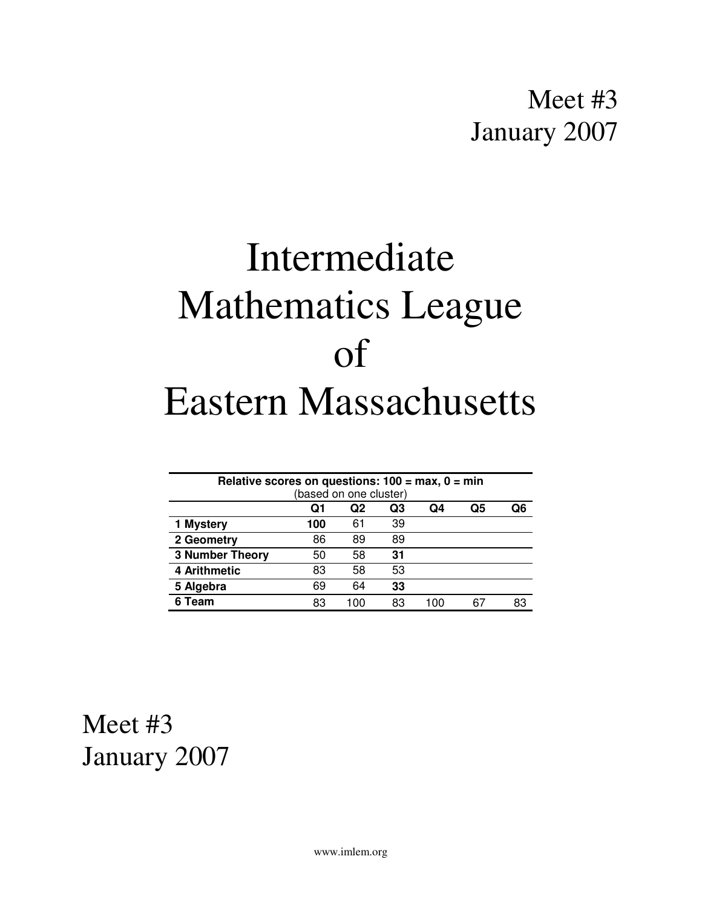# Intermediate Mathematics League of Eastern Massachusetts

| Relative scores on questions: $100 = \text{max}, 0 = \text{min}$ |     |     |    |     |    |    |
|------------------------------------------------------------------|-----|-----|----|-----|----|----|
| (based on one cluster)                                           |     |     |    |     |    |    |
|                                                                  | Q1  | Q2  | Q3 | Q4  | Q5 | O6 |
| 1 Mystery                                                        | 100 | 61  | 39 |     |    |    |
| 2 Geometry                                                       | 86  | 89  | 89 |     |    |    |
| <b>3 Number Theory</b>                                           | 50  | 58  | 31 |     |    |    |
| 4 Arithmetic                                                     | 83  | 58  | 53 |     |    |    |
| 5 Algebra                                                        | 69  | 64  | 33 |     |    |    |
| 6 Team                                                           | 83  | 100 | 83 | 100 | 67 | 83 |

Meet #3 January 2007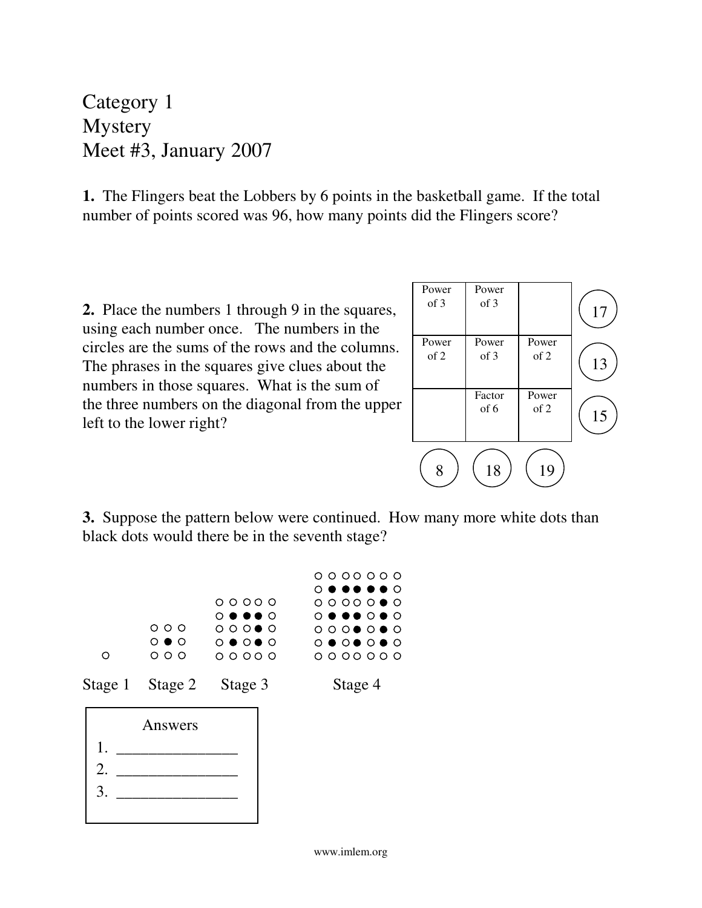Category 1 **Mystery** Meet #3, January 2007

**1.** The Flingers beat the Lobbers by 6 points in the basketball game. If the total number of points scored was 96, how many points did the Flingers score?

**2.** Place the numbers 1 through 9 in the squares, using each number once. The numbers in the circles are the sums of the rows and the columns. The phrases in the squares give clues about the numbers in those squares. What is the sum of the three numbers on the diagonal from the upper left to the lower right?



**3.** Suppose the pattern below were continued. How many more white dots than black dots would there be in the seventh stage?

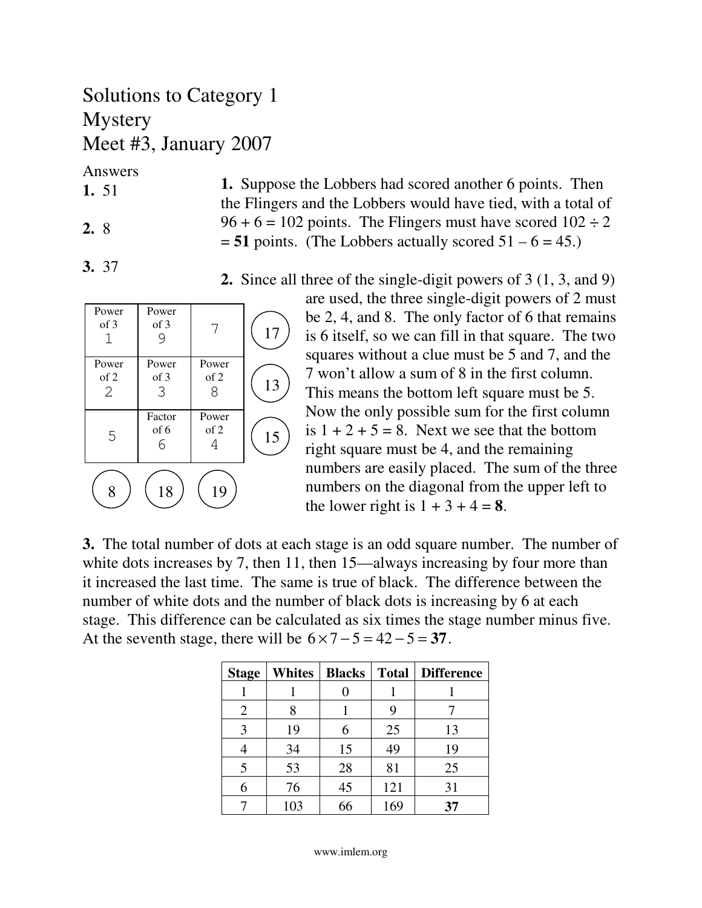## Solutions to Category 1 Mystery Meet #3, January 2007

Answers

- **1.** 51
- **2.** 8

**3.** 37

- **1.** Suppose the Lobbers had scored another 6 points. Then the Flingers and the Lobbers would have tied, with a total of  $96 + 6 = 102$  points. The Flingers must have scored  $102 \div 2$  $= 51$  points. (The Lobbers actually scored  $51 - 6 = 45$ .)
- Power of 3 1 Power of 3 9 Power of 3 3 Factor of 6 6 Power of 2 4 Power of 2 8 Power of 2 2 17 13 15 8 ) ( 18 ) ( 19 5 7

**2.** Since all three of the single-digit powers of 3 (1, 3, and 9)

are used, the three single-digit powers of 2 must be 2, 4, and 8. The only factor of 6 that remains is 6 itself, so we can fill in that square. The two squares without a clue must be 5 and 7, and the 7 won't allow a sum of 8 in the first column. This means the bottom left square must be 5. Now the only possible sum for the first column is  $1 + 2 + 5 = 8$ . Next we see that the bottom right square must be 4, and the remaining numbers are easily placed. The sum of the three numbers on the diagonal from the upper left to the lower right is  $1 + 3 + 4 = 8$ .

**3.** The total number of dots at each stage is an odd square number. The number of white dots increases by 7, then 11, then 15—always increasing by four more than it increased the last time. The same is true of black. The difference between the number of white dots and the number of black dots is increasing by 6 at each stage. This difference can be calculated as six times the stage number minus five. At the seventh stage, there will be  $6 \times 7 - 5 = 42 - 5 = 37$ .

| <b>Stage</b>   | <b>Whites</b> | <b>Blacks</b> |     | <b>Total   Difference</b> |
|----------------|---------------|---------------|-----|---------------------------|
|                |               |               |     |                           |
| $\overline{2}$ |               |               |     |                           |
| 3              | 19            | 6             | 25  | 13                        |
|                | 34            | 15            | 49  | 19                        |
| 5              | 53            | 28            | 81  | 25                        |
| 6              | 76            | 45            | 121 | 31                        |
|                | 103           | 66            | 169 | 37                        |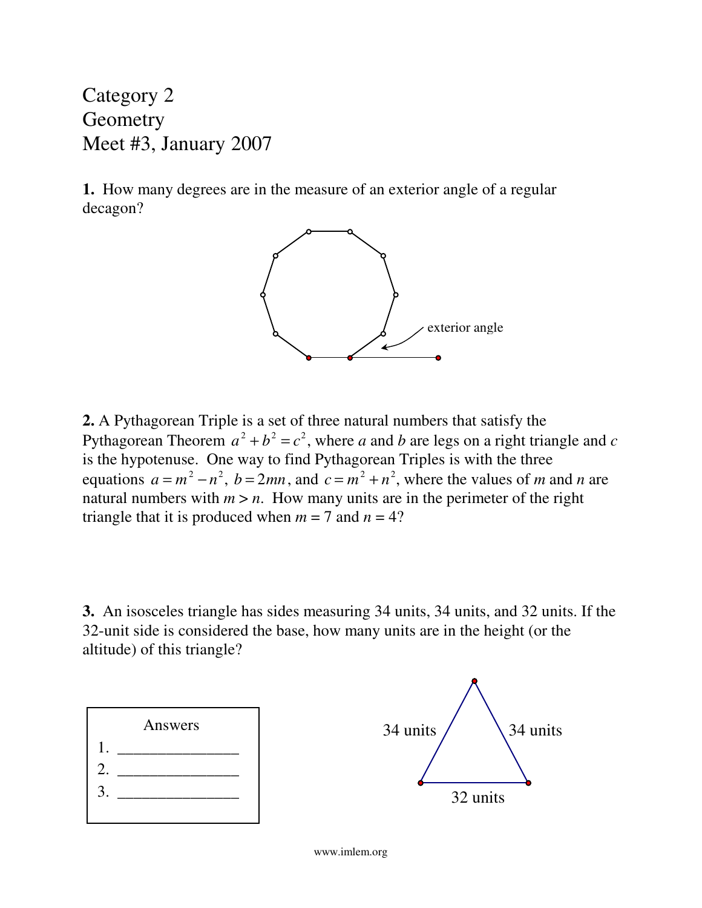Category 2 **Geometry** Meet #3, January 2007

**1.** How many degrees are in the measure of an exterior angle of a regular decagon?



**2.** A Pythagorean Triple is a set of three natural numbers that satisfy the Pythagorean Theorem  $a^2 + b^2 = c^2$ , where *a* and *b* are legs on a right triangle and *c* is the hypotenuse. One way to find Pythagorean Triples is with the three equations  $a = m^2 - n^2$ ,  $b = 2mn$ , and  $c = m^2 + n^2$ , where the values of *m* and *n* are natural numbers with  $m > n$ . How many units are in the perimeter of the right triangle that it is produced when  $m = 7$  and  $n = 4$ ?

**3.** An isosceles triangle has sides measuring 34 units, 34 units, and 32 units. If the 32-unit side is considered the base, how many units are in the height (or the altitude) of this triangle?

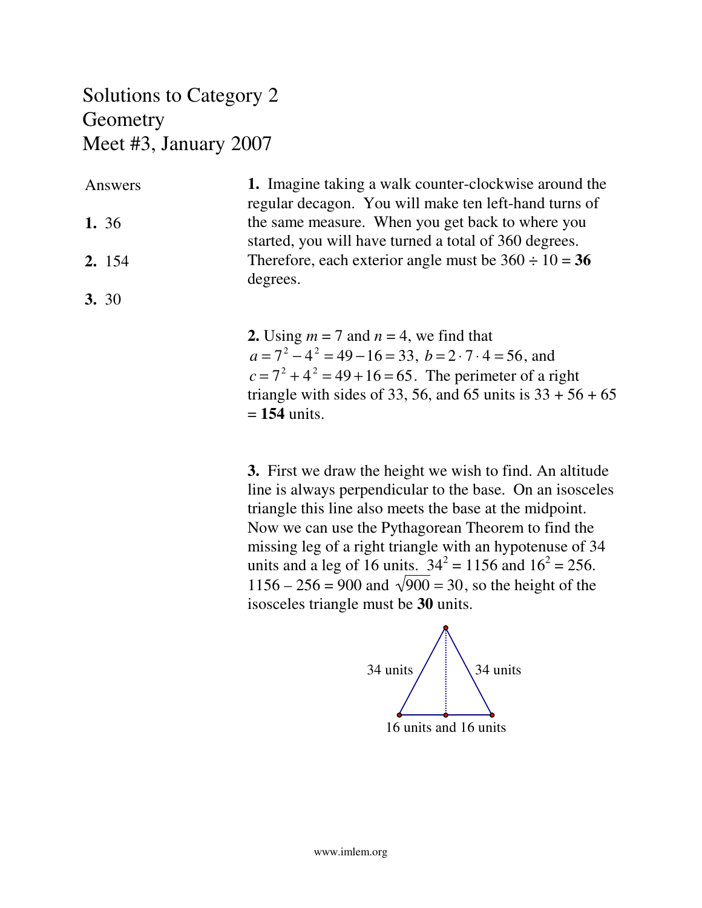### Solutions to Category 2 **Geometry** Meet #3, January 2007

**1.** Imagine taking a walk counter-clockwise around the regular decagon. You will make ten left-hand turns of the same measure. When you get back to where you started, you will have turned a total of 360 degrees. Therefore, each exterior angle must be  $360 \div 10 = 36$ degrees. Answers **1.** 36 **2.** 154 **3.** 30

> **2.** Using  $m = 7$  and  $n = 4$ , we find that  $a = 7^2 - 4^2 = 49 - 16 = 33, b = 2 \cdot 7 \cdot 4 = 56$ , and  $c = 7^2 + 4^2 = 49 + 16 = 65$ . The perimeter of a right triangle with sides of 33, 56, and 65 units is  $33 + 56 + 65$ = **154** units.

> **3.** First we draw the height we wish to find. An altitude line is always perpendicular to the base. On an isosceles triangle this line also meets the base at the midpoint. Now we can use the Pythagorean Theorem to find the missing leg of a right triangle with an hypotenuse of 34 units and a leg of 16 units.  $34^2 = 1156$  and  $16^2 = 256$ .  $1156 - 256 = 900$  and  $\sqrt{900} = 30$ , so the height of the isosceles triangle must be **30** units.

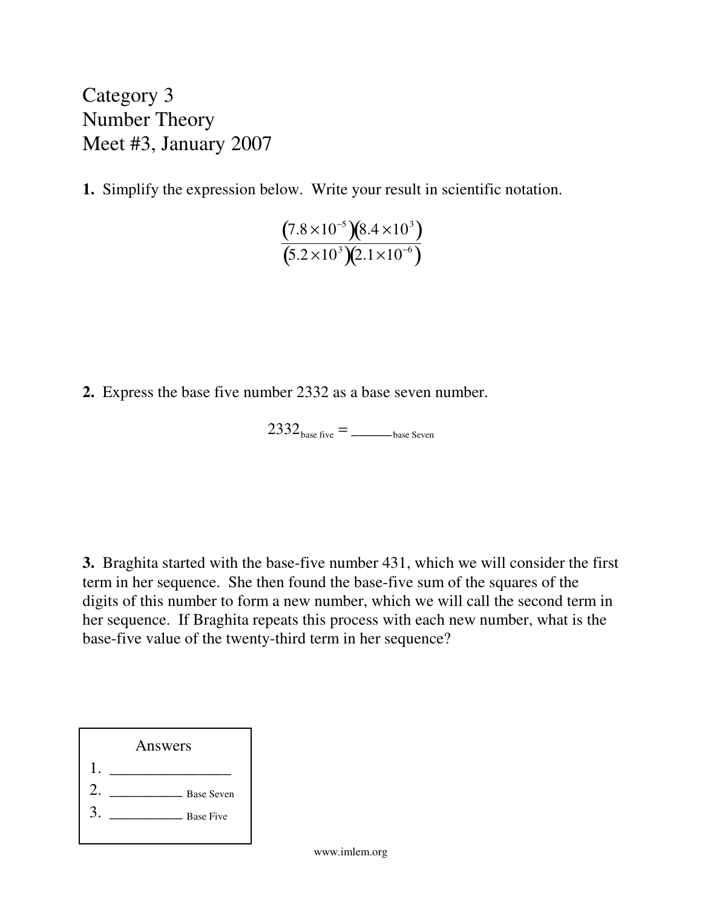Category 3 Number Theory Meet #3, January 2007

**1.** Simplify the expression below. Write your result in scientific notation.

$$
\frac{(7.8\times10^{-5})(8.4\times10^{3})}{(5.2\times10^{3})(2.1\times10^{-6})}
$$

**2.** Express the base five number 2332 as a base seven number.

 $2332<sub>base</sub>$  five  $=$  \_\_\_\_\_\_\_\_\_base Seven

**3.** Braghita started with the base-five number 431, which we will consider the first term in her sequence. She then found the base-five sum of the squares of the digits of this number to form a new number, which we will call the second term in her sequence. If Braghita repeats this process with each new number, what is the base-five value of the twenty-third term in her sequence?

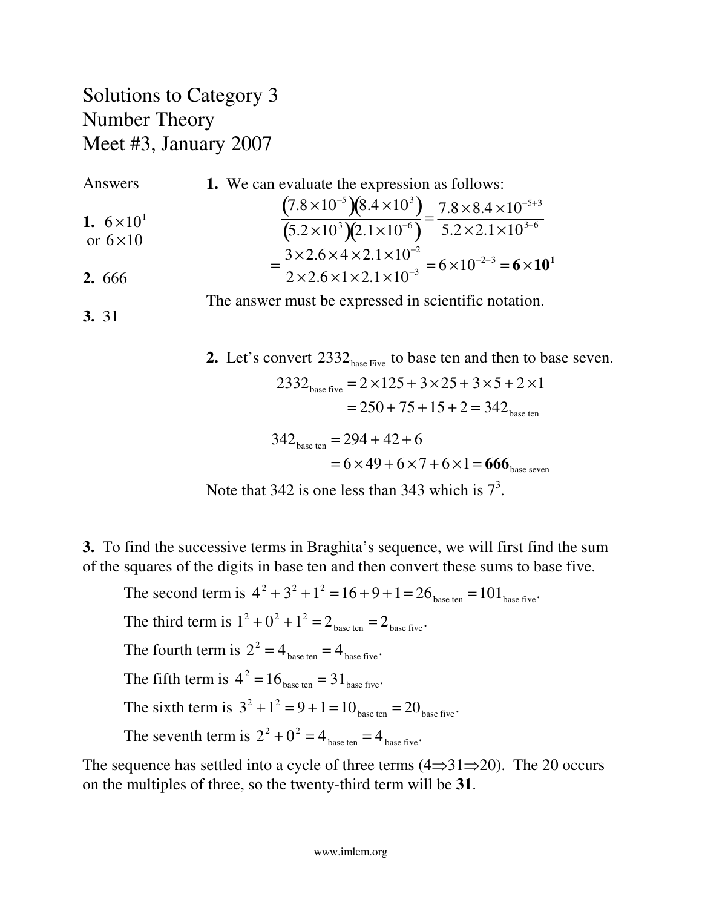#### Solutions to Category 3 Number Theory Meet #3, January 2007

Answers  
\n1. We can evaluate the expression as follows:  
\n
$$
\frac{(7.8 \times 10^{-5})(8.4 \times 10^{3})}{(5.2 \times 10^{3})(2.1 \times 10^{-6})} = \frac{7.8 \times 8.4 \times 10^{-5+3}}{5.2 \times 2.1 \times 10^{3-6}}
$$
\n
$$
= \frac{3 \times 2.6 \times 4 \times 2.1 \times 10^{-2}}{2 \times 2.6 \times 1 \times 2.1 \times 10^{-3}} = 6 \times 10^{-2+3} = 6 \times 10^{1}
$$

The answer must be expressed in scientific notation.

**3.** 31

**2.** Let's convert 2332<sub>base Five</sub> to base ten and then to base seven.  $2332<sub>base</sub>$  five  $= 2 \times 125 + 3 \times 25 + 3 \times 5 + 2 \times 1$  $= 250 + 75 + 15 + 2 = 342$ base ten  $342_{\text{base ten}} = 294 + 42 + 6$ 

$$
=6\times49+6\times7+6\times1=666_{\text{base seven}}
$$

Note that 342 is one less than 343 which is  $7<sup>3</sup>$ .

**3.** To find the successive terms in Braghita's sequence, we will first find the sum of the squares of the digits in base ten and then convert these sums to base five.

The second term is  $4^2 + 3^2 + 1^2 = 16 + 9 + 1 = 26$ <sub>base ten</sub> = 101<sub>base five</sub>. The third term is  $1^2 + 0^2 + 1^2 = 2$ <sub>base ten</sub>  $= 2$ <sub>base five</sub>. The fourth term is  $2^2 = 4_{\text{base ten}} = 4_{\text{base five}}$ . The fifth term is  $4^2 = 16_{\text{base ten}} = 31_{\text{base five}}$ . The sixth term is  $3^2 + 1^2 = 9 + 1 = 10_{\text{base ten}} = 20_{\text{base five}}$ . The seventh term is  $2^2 + 0^2 = 4$ <sub>base ten</sub>  $= 4$ <sub>base five</sub>.

The sequence has settled into a cycle of three terms  $(4 \Rightarrow 31 \Rightarrow 20)$ . The 20 occurs on the multiples of three, so the twenty-third term will be **31**.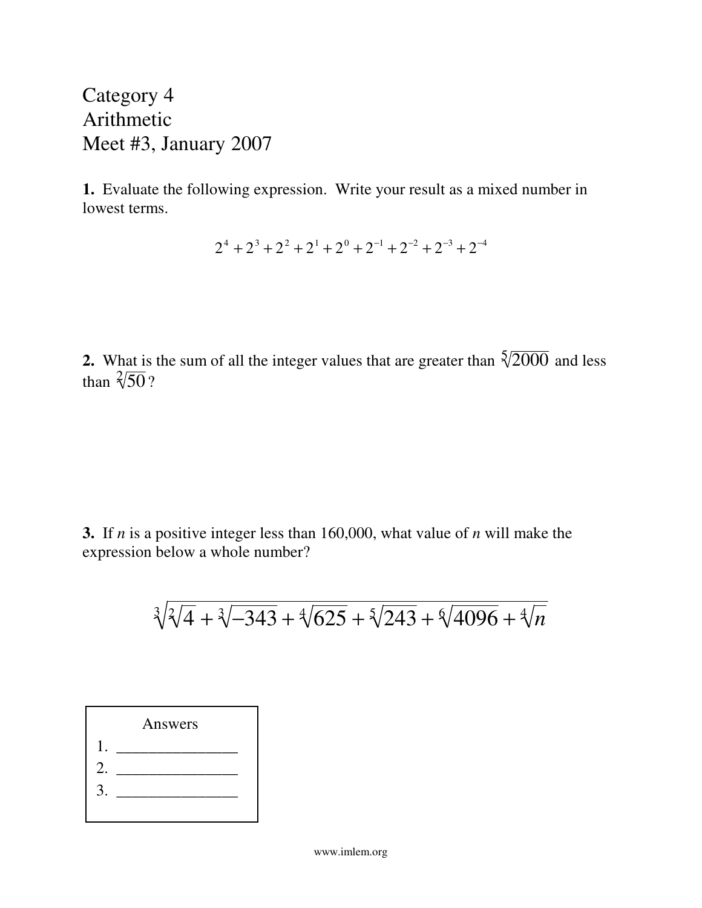Category 4 Arithmetic Meet #3, January 2007

**1.** Evaluate the following expression. Write your result as a mixed number in lowest terms.

 $2^4 + 2^3 + 2^2 + 2^1 + 2^0 + 2^{-1} + 2^{-2} + 2^{-3} + 2^{-4}$ 

**2.** What is the sum of all the integer values that are greater than  $\sqrt[5]{2000}$  and less than  $\sqrt[2]{50}$ ?

**3.** If *n* is a positive integer less than 160,000, what value of *n* will make the expression below a whole number?

$$
\sqrt[3]{\sqrt[2]{4} + \sqrt[3]{-343} + \sqrt[4]{625} + \sqrt[5]{243} + \sqrt[6]{4096} + \sqrt[4]{n}}
$$

|    | Answers |  |
|----|---------|--|
|    |         |  |
| 2. |         |  |
| 3  |         |  |
|    |         |  |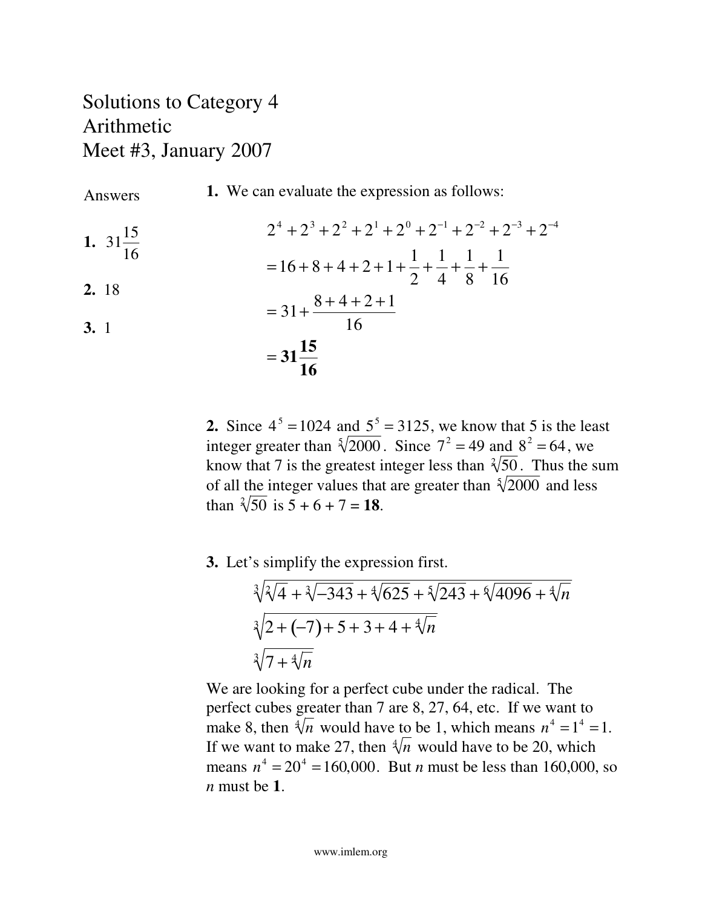#### Solutions to Category 4 Arithmetic Meet #3, January 2007

Answers

**1.** We can evaluate the expression as follows:

 $2^4 + 2^3 + 2^2 + 2^1 + 2^0 + 2^{-1} + 2^{-2} + 2^{-3} + 2^{-4}$  $=16 + 8 + 4 + 2 + 1 +$ 1 2 + 1 4 + 1 8 + 1 16  $= 31 +$  $8 + 4 + 2 + 1$ 16 = **31 15 16 1.** 31 15 16 **2.** 18 **3.** 1

> **2.** Since  $4^5 = 1024$  and  $5^5 = 3125$ , we know that 5 is the least integer greater than  $\sqrt[5]{2000}$ . Since  $7^2 = 49$  and  $8^2 = 64$ , we know that 7 is the greatest integer less than  $\sqrt[2]{50}$ . Thus the sum of all the integer values that are greater than  $\sqrt[5]{2000}$  and less than  $\sqrt[2]{50}$  is  $5 + 6 + 7 = 18$ .

**3.** Let's simplify the expression first.

$$
\sqrt[3]{\sqrt[2]{4} + \sqrt[3]{-343} + \sqrt[4]{625} + \sqrt[5]{243} + \sqrt[6]{4096} + \sqrt[4]{n}}
$$
  

$$
\sqrt[3]{2 + (-7) + 5 + 3 + 4 + \sqrt[4]{n}}
$$
  

$$
\sqrt[3]{7 + \sqrt[4]{n}}
$$

We are looking for a perfect cube under the radical. The perfect cubes greater than 7 are 8, 27, 64, etc. If we want to make 8, then  $\sqrt[4]{n}$  would have to be 1, which means  $n^4 = 1^4 = 1$ . If we want to make 27, then  $\sqrt[4]{n}$  would have to be 20, which means  $n^4 = 20^4 = 160,000$ . But *n* must be less than 160,000, so *n* must be **1**.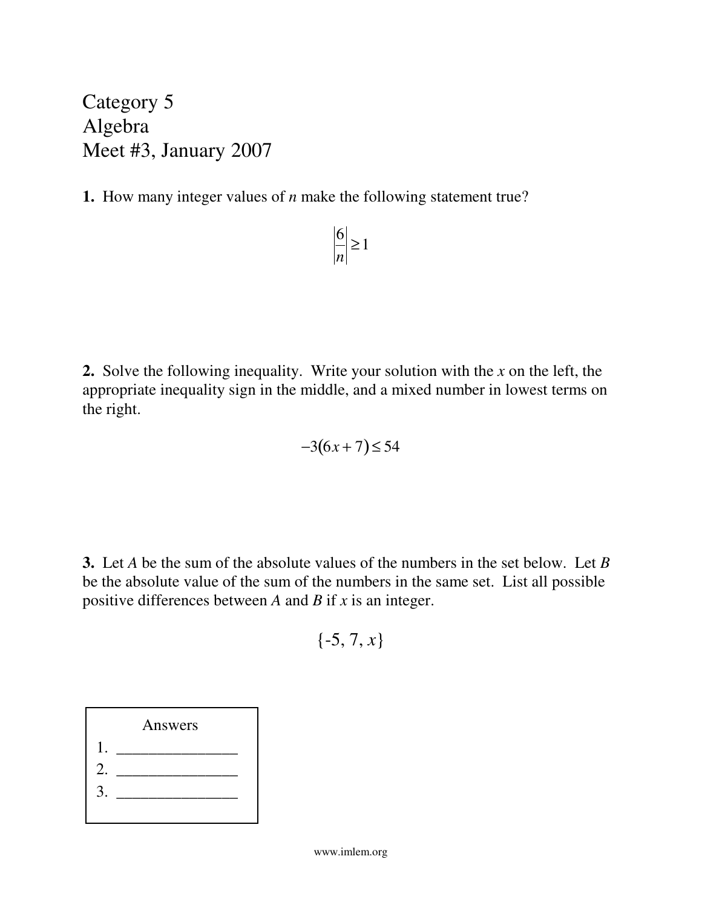Category 5 Algebra Meet #3, January 2007

**1.** How many integer values of *n* make the following statement true?

$$
\left|\frac{6}{n}\right| \ge 1
$$

**2.** Solve the following inequality. Write your solution with the *x* on the left, the appropriate inequality sign in the middle, and a mixed number in lowest terms on the right.

$$
-3(6x+7) \leq 54
$$

**3.** Let *A* be the sum of the absolute values of the numbers in the set below. Let *B* be the absolute value of the sum of the numbers in the same set. List all possible positive differences between *A* and *B* if *x* is an integer.

$$
\{-5, 7, x\}
$$

|    | Answers |  |
|----|---------|--|
|    |         |  |
| 2. |         |  |
| 3. |         |  |
|    |         |  |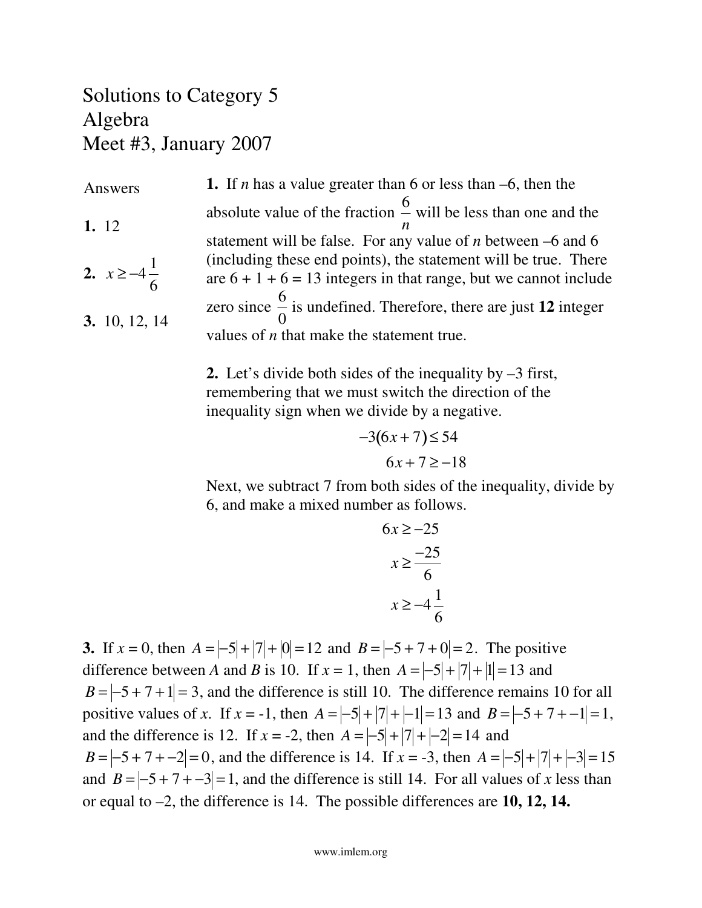### Solutions to Category 5 Algebra Meet #3, January 2007

**1.** If *n* has a value greater than 6 or less than –6, then the absolute value of the fraction 6 *n* will be less than one and the statement will be false. For any value of *n* between –6 and 6 (including these end points), the statement will be true. There are  $6 + 1 + 6 = 13$  integers in that range, but we cannot include zero since 6 0 is undefined. Therefore, there are just **12** integer values of *n* that make the statement true. Answers **1.** 12 **2.**  $x \ge -4$ 1 6 **3.** 10, 12, 14

> **2.** Let's divide both sides of the inequality by –3 first, remembering that we must switch the direction of the inequality sign when we divide by a negative.

$$
-3(6x+7) \le 54
$$
  

$$
6x+7 \ge -18
$$

Next, we subtract 7 from both sides of the inequality, divide by 6, and make a mixed number as follows.

$$
6x \ge -25
$$

$$
x \ge \frac{-25}{6}
$$

$$
x \ge -4\frac{1}{6}
$$

**3.** If  $x = 0$ , then  $A = \frac{-5}{7} + \frac{7}{7} + \frac{10}{1} = 12$  and  $B = \frac{-5 + 7 + 0}{7} = 2$ . The positive difference between *A* and *B* is 10. If  $x = 1$ , then  $A = |-5| + |7| + |1| = 13$  and  $B = \frac{-5 + 7 + 1}{=}$ , and the difference is still 10. The difference remains 10 for all positive values of *x*. If  $x = -1$ , then  $A = |-5| + |7| + |-1| = 13$  and  $B = |-5 + 7 + -1| = 1$ , and the difference is 12. If  $x = -2$ , then  $A = \frac{-5}{7} + \frac{7}{7} + \frac{-2}{7} = 14$  and *B* =  $\left|-5+7+(-2)\right|=0$ , and the difference is 14. If  $x = -3$ , then  $A = \left|-5|+|7|+(-3)\right|=15$ and  $B = \left[-5 + 7 + -3\right] = 1$ , and the difference is still 14. For all values of *x* less than or equal to –2, the difference is 14. The possible differences are **10, 12, 14.**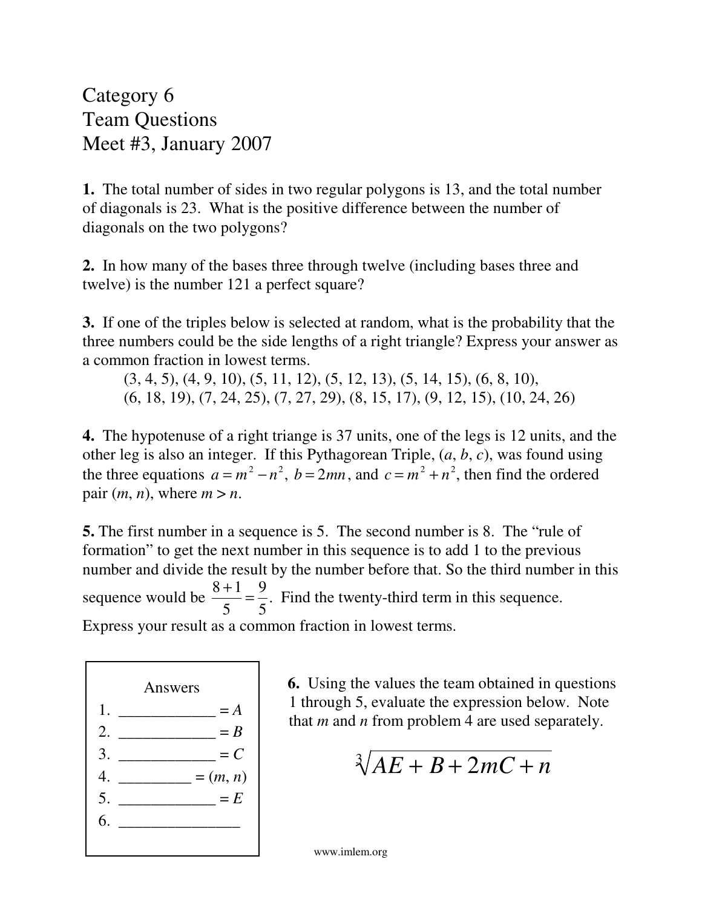Category 6 Team Questions Meet #3, January 2007

**1.** The total number of sides in two regular polygons is 13, and the total number of diagonals is 23. What is the positive difference between the number of diagonals on the two polygons?

**2.** In how many of the bases three through twelve (including bases three and twelve) is the number 121 a perfect square?

**3.** If one of the triples below is selected at random, what is the probability that the three numbers could be the side lengths of a right triangle? Express your answer as a common fraction in lowest terms.

 $(3, 4, 5), (4, 9, 10), (5, 11, 12), (5, 12, 13), (5, 14, 15), (6, 8, 10),$ (6, 18, 19), (7, 24, 25), (7, 27, 29), (8, 15, 17), (9, 12, 15), (10, 24, 26)

**4.** The hypotenuse of a right triange is 37 units, one of the legs is 12 units, and the other leg is also an integer. If this Pythagorean Triple, (*a*, *b*, *c*), was found using the three equations  $a = m^2 - n^2$ ,  $b = 2mn$ , and  $c = m^2 + n^2$ , then find the ordered pair  $(m, n)$ , where  $m > n$ .

**5.** The first number in a sequence is 5. The second number is 8. The "rule of formation" to get the next number in this sequence is to add 1 to the previous number and divide the result by the number before that. So the third number in this sequence would be  $8 + 1$ 5 = 9 5 . Find the twenty-third term in this sequence. Express your result as a common fraction in lowest terms.



**6.** Using the values the team obtained in questions 1 through 5, evaluate the expression below. Note that *m* and *n* from problem 4 are used separately.

 $\sqrt[3]{AE + B + 2mC + n}$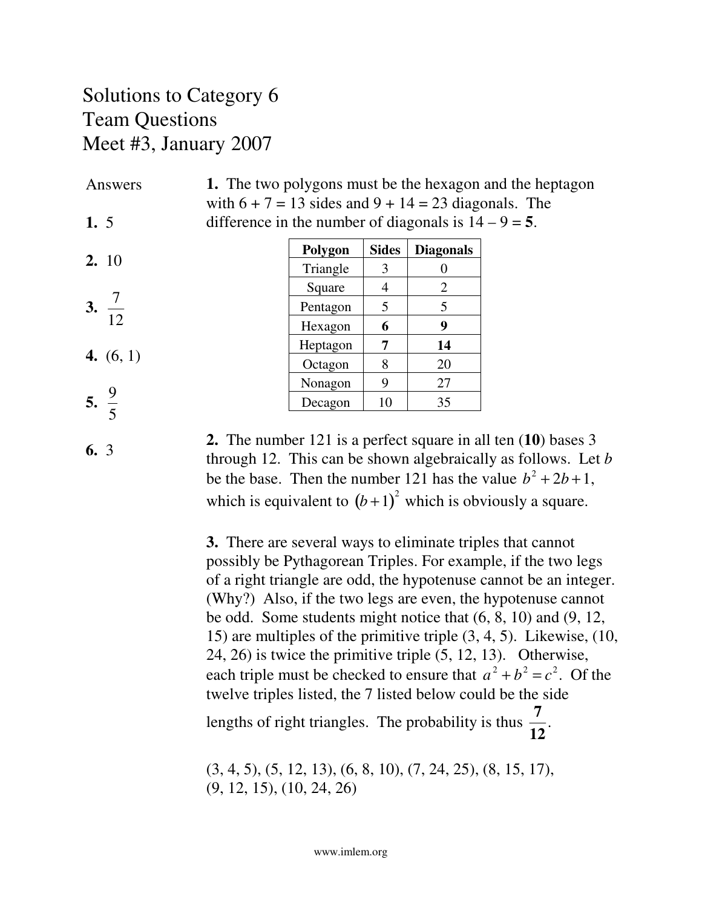#### Solutions to Category 6 Team Questions Meet #3, January 2007

**1.** The two polygons must be the hexagon and the heptagon with  $6 + 7 = 13$  sides and  $9 + 14 = 23$  diagonals. The difference in the number of diagonals is  $14 - 9 = 5$ . Answers **1.** 5

| 2.10 |
|------|

- **3.** 7 12
- **4.** (6, 1)
- **5.** 9
- 5

**6.** 3

Nonagon 9 27 Decagon  $10$  35

**Polygon Sides Diagonals**

Triangle  $\begin{vmatrix} 3 & 0 \\ 0 & 0 \end{vmatrix}$ Square  $\begin{vmatrix} 4 & 2 \end{vmatrix}$ Pentagon  $\begin{array}{|c|c|} \hline 5 & 5 \\ \hline \end{array}$ Hexagon **6 9** Heptagon **7 14** Octagon 8 20

**2.** The number 121 is a perfect square in all ten (**10**) bases 3 through 12. This can be shown algebraically as follows. Let *b* be the base. Then the number 121 has the value  $b^2 + 2b + 1$ , which is equivalent to  $(b+1)^2$  which is obviously a square.

**3.** There are several ways to eliminate triples that cannot possibly be Pythagorean Triples. For example, if the two legs of a right triangle are odd, the hypotenuse cannot be an integer. (Why?) Also, if the two legs are even, the hypotenuse cannot be odd. Some students might notice that (6, 8, 10) and (9, 12, 15) are multiples of the primitive triple (3, 4, 5). Likewise, (10, 24, 26) is twice the primitive triple (5, 12, 13). Otherwise, each triple must be checked to ensure that  $a^2 + b^2 = c^2$ . Of the twelve triples listed, the 7 listed below could be the side lengths of right triangles. The probability is thus **7 12** .

(3, 4, 5), (5, 12, 13), (6, 8, 10), (7, 24, 25), (8, 15, 17), (9, 12, 15), (10, 24, 26)